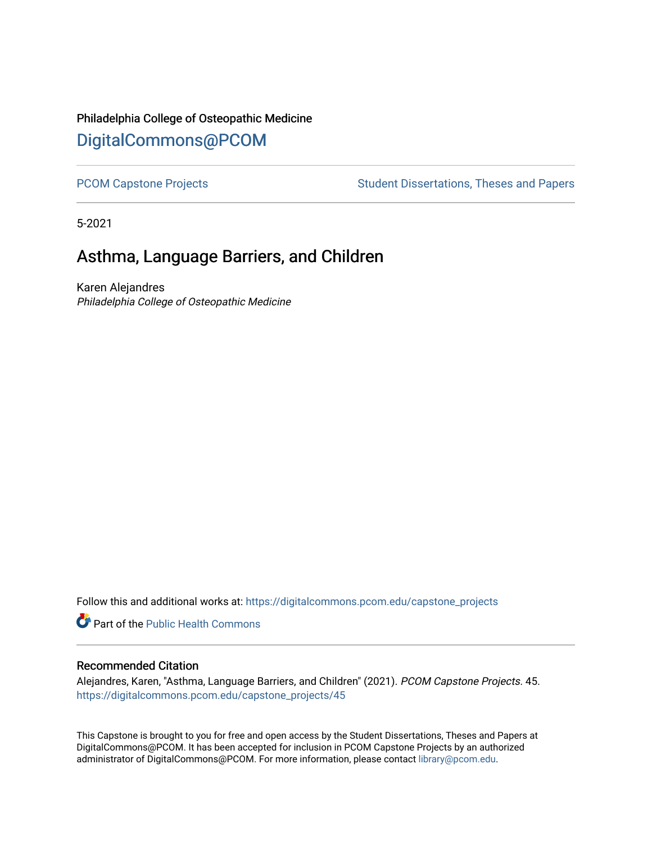# Philadelphia College of Osteopathic Medicine [DigitalCommons@PCOM](https://digitalcommons.pcom.edu/)

[PCOM Capstone Projects](https://digitalcommons.pcom.edu/capstone_projects) **Student Dissertations, Theses and Papers** Student Dissertations, Theses and Papers

5-2021

# Asthma, Language Barriers, and Children

Karen Alejandres Philadelphia College of Osteopathic Medicine

Follow this and additional works at: [https://digitalcommons.pcom.edu/capstone\\_projects](https://digitalcommons.pcom.edu/capstone_projects?utm_source=digitalcommons.pcom.edu%2Fcapstone_projects%2F45&utm_medium=PDF&utm_campaign=PDFCoverPages)

Part of the [Public Health Commons](http://network.bepress.com/hgg/discipline/738?utm_source=digitalcommons.pcom.edu%2Fcapstone_projects%2F45&utm_medium=PDF&utm_campaign=PDFCoverPages) 

#### Recommended Citation

Alejandres, Karen, "Asthma, Language Barriers, and Children" (2021). PCOM Capstone Projects. 45. [https://digitalcommons.pcom.edu/capstone\\_projects/45](https://digitalcommons.pcom.edu/capstone_projects/45?utm_source=digitalcommons.pcom.edu%2Fcapstone_projects%2F45&utm_medium=PDF&utm_campaign=PDFCoverPages) 

This Capstone is brought to you for free and open access by the Student Dissertations, Theses and Papers at DigitalCommons@PCOM. It has been accepted for inclusion in PCOM Capstone Projects by an authorized administrator of DigitalCommons@PCOM. For more information, please contact [library@pcom.edu.](mailto:library@pcom.edu)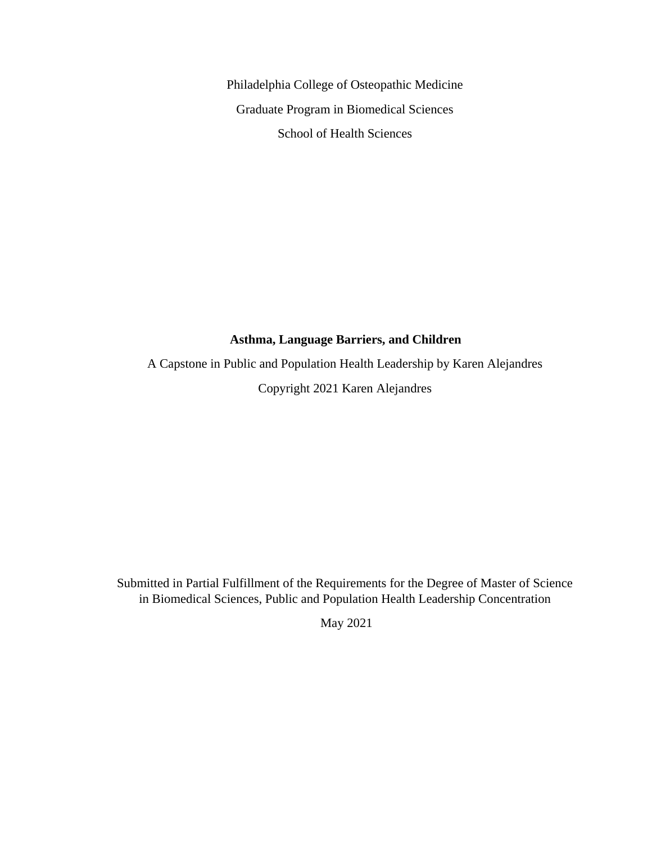Philadelphia College of Osteopathic Medicine Graduate Program in Biomedical Sciences School of Health Sciences

### **Asthma, Language Barriers, and Children**

A Capstone in Public and Population Health Leadership by Karen Alejandres Copyright 2021 Karen Alejandres

Submitted in Partial Fulfillment of the Requirements for the Degree of Master of Science in Biomedical Sciences, Public and Population Health Leadership Concentration

May 2021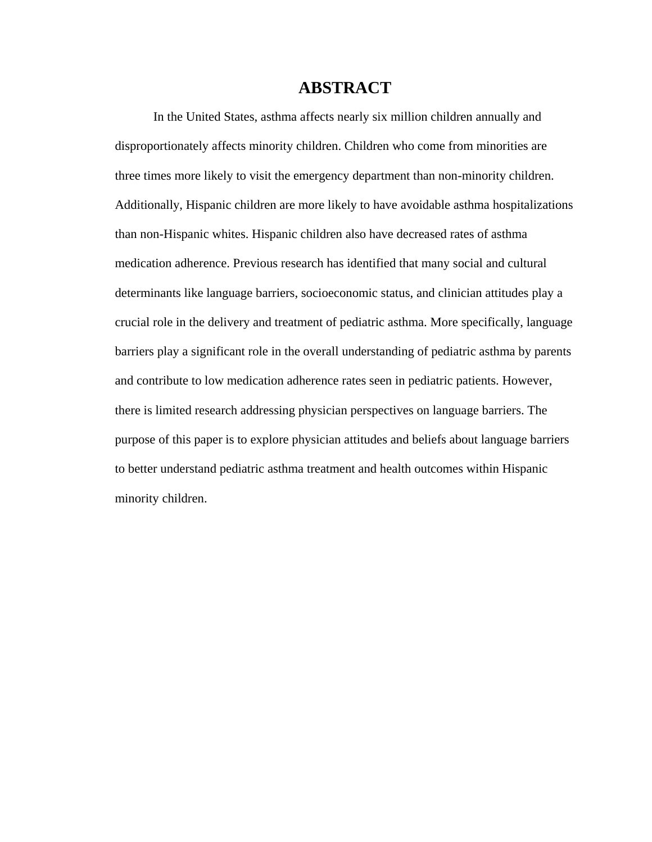## **ABSTRACT**

In the United States, asthma affects nearly six million children annually and disproportionately affects minority children. Children who come from minorities are three times more likely to visit the emergency department than non-minority children. Additionally, Hispanic children are more likely to have avoidable asthma hospitalizations than non-Hispanic whites. Hispanic children also have decreased rates of asthma medication adherence. Previous research has identified that many social and cultural determinants like language barriers, socioeconomic status, and clinician attitudes play a crucial role in the delivery and treatment of pediatric asthma. More specifically, language barriers play a significant role in the overall understanding of pediatric asthma by parents and contribute to low medication adherence rates seen in pediatric patients. However, there is limited research addressing physician perspectives on language barriers. The purpose of this paper is to explore physician attitudes and beliefs about language barriers to better understand pediatric asthma treatment and health outcomes within Hispanic minority children.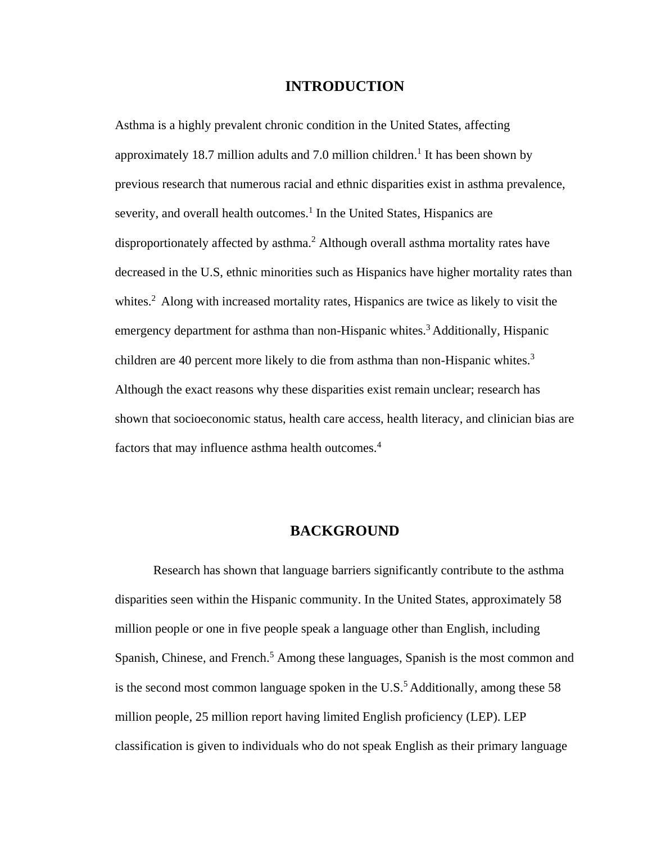### **INTRODUCTION**

Asthma is a highly prevalent chronic condition in the United States, affecting approximately 18.7 million adults and 7.0 million children.<sup>1</sup> It has been shown by previous research that numerous racial and ethnic disparities exist in asthma prevalence, severity, and overall health outcomes.<sup>1</sup> In the United States, Hispanics are disproportionately affected by asthma.<sup>2</sup> Although overall asthma mortality rates have decreased in the U.S, ethnic minorities such as Hispanics have higher mortality rates than whites.<sup>2</sup> Along with increased mortality rates, Hispanics are twice as likely to visit the emergency department for asthma than non-Hispanic whites.<sup>3</sup> Additionally, Hispanic children are 40 percent more likely to die from asthma than non-Hispanic whites.<sup>3</sup> Although the exact reasons why these disparities exist remain unclear; research has shown that socioeconomic status, health care access, health literacy, and clinician bias are factors that may influence asthma health outcomes.<sup>4</sup>

### **BACKGROUND**

Research has shown that language barriers significantly contribute to the asthma disparities seen within the Hispanic community. In the United States, approximately 58 million people or one in five people speak a language other than English, including Spanish, Chinese, and French.<sup>5</sup> Among these languages, Spanish is the most common and is the second most common language spoken in the U.S.<sup>5</sup> Additionally, among these 58 million people, 25 million report having limited English proficiency (LEP). LEP classification is given to individuals who do not speak English as their primary language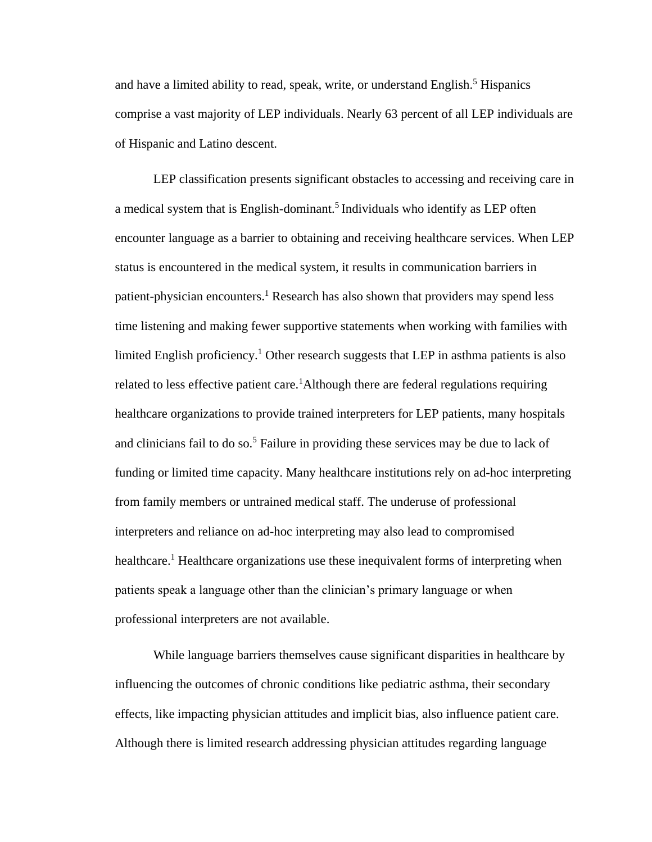and have a limited ability to read, speak, write, or understand English.<sup>5</sup> Hispanics comprise a vast majority of LEP individuals. Nearly 63 percent of all LEP individuals are of Hispanic and Latino descent.

LEP classification presents significant obstacles to accessing and receiving care in a medical system that is English-dominant.<sup>5</sup> Individuals who identify as LEP often encounter language as a barrier to obtaining and receiving healthcare services. When LEP status is encountered in the medical system, it results in communication barriers in patient-physician encounters.<sup>1</sup> Research has also shown that providers may spend less time listening and making fewer supportive statements when working with families with limited English proficiency.<sup>1</sup> Other research suggests that LEP in asthma patients is also related to less effective patient care.<sup>1</sup>Although there are federal regulations requiring healthcare organizations to provide trained interpreters for LEP patients, many hospitals and clinicians fail to do so.<sup>5</sup> Failure in providing these services may be due to lack of funding or limited time capacity. Many healthcare institutions rely on ad-hoc interpreting from family members or untrained medical staff. The underuse of professional interpreters and reliance on ad-hoc interpreting may also lead to compromised healthcare.<sup>1</sup> Healthcare organizations use these inequivalent forms of interpreting when patients speak a language other than the clinician's primary language or when professional interpreters are not available.

While language barriers themselves cause significant disparities in healthcare by influencing the outcomes of chronic conditions like pediatric asthma, their secondary effects, like impacting physician attitudes and implicit bias, also influence patient care. Although there is limited research addressing physician attitudes regarding language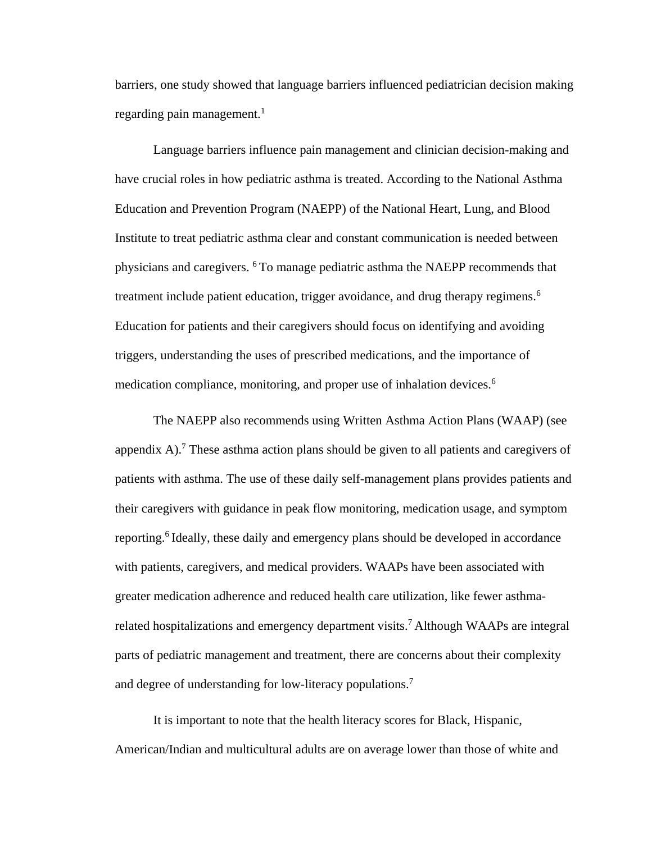barriers, one study showed that language barriers influenced pediatrician decision making regarding pain management.<sup>1</sup>

Language barriers influence pain management and clinician decision-making and have crucial roles in how pediatric asthma is treated. According to the National Asthma Education and Prevention Program (NAEPP) of the National Heart, Lung, and Blood Institute to treat pediatric asthma clear and constant communication is needed between physicians and caregivers. <sup>6</sup>To manage pediatric asthma the NAEPP recommends that treatment include patient education, trigger avoidance, and drug therapy regimens.<sup>6</sup> Education for patients and their caregivers should focus on identifying and avoiding triggers, understanding the uses of prescribed medications, and the importance of medication compliance, monitoring, and proper use of inhalation devices.<sup>6</sup>

The NAEPP also recommends using Written Asthma Action Plans (WAAP) (see appendix A).<sup>7</sup> These asthma action plans should be given to all patients and caregivers of patients with asthma. The use of these daily self-management plans provides patients and their caregivers with guidance in peak flow monitoring, medication usage, and symptom reporting.<sup>6</sup> Ideally, these daily and emergency plans should be developed in accordance with patients, caregivers, and medical providers. WAAPs have been associated with greater medication adherence and reduced health care utilization, like fewer asthmarelated hospitalizations and emergency department visits.<sup>7</sup> Although WAAPs are integral parts of pediatric management and treatment, there are concerns about their complexity and degree of understanding for low-literacy populations.<sup>7</sup>

It is important to note that the health literacy scores for Black, Hispanic, American/Indian and multicultural adults are on average lower than those of white and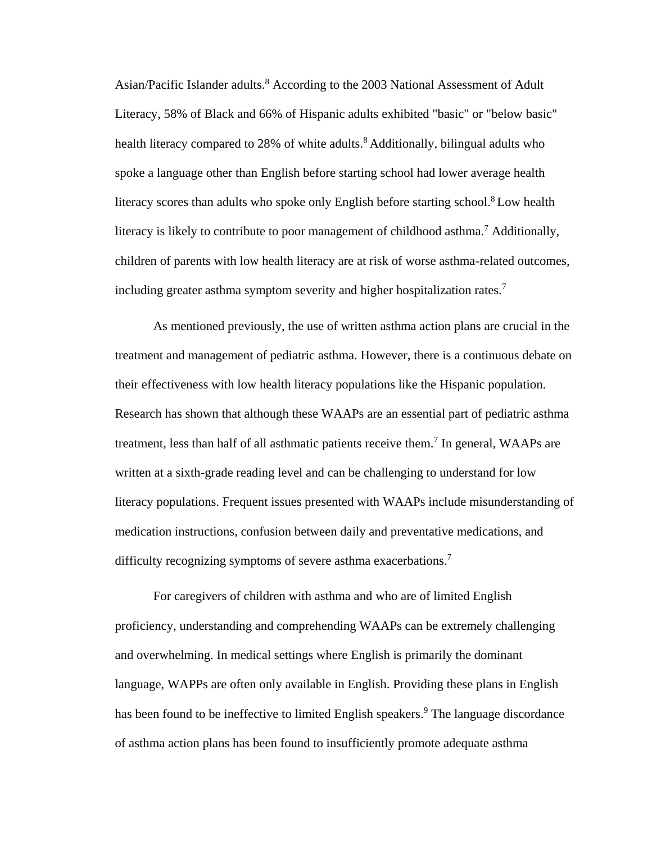Asian/Pacific Islander adults.<sup>8</sup> According to the 2003 National Assessment of Adult Literacy, 58% of Black and 66% of Hispanic adults exhibited "basic" or "below basic" health literacy compared to 28% of white adults.<sup>8</sup> Additionally, bilingual adults who spoke a language other than English before starting school had lower average health literacy scores than adults who spoke only English before starting school.<sup>8</sup>Low health literacy is likely to contribute to poor management of childhood asthma.<sup>7</sup> Additionally, children of parents with low health literacy are at risk of worse asthma-related outcomes, including greater asthma symptom severity and higher hospitalization rates.<sup>7</sup>

As mentioned previously, the use of written asthma action plans are crucial in the treatment and management of pediatric asthma. However, there is a continuous debate on their effectiveness with low health literacy populations like the Hispanic population. Research has shown that although these WAAPs are an essential part of pediatric asthma treatment, less than half of all asthmatic patients receive them.<sup>7</sup> In general, WAAPs are written at a sixth-grade reading level and can be challenging to understand for low literacy populations. Frequent issues presented with WAAPs include misunderstanding of medication instructions, confusion between daily and preventative medications, and difficulty recognizing symptoms of severe asthma exacerbations.<sup>7</sup>

For caregivers of children with asthma and who are of limited English proficiency, understanding and comprehending WAAPs can be extremely challenging and overwhelming. In medical settings where English is primarily the dominant language, WAPPs are often only available in English. Providing these plans in English has been found to be ineffective to limited English speakers.<sup>9</sup> The language discordance of asthma action plans has been found to insufficiently promote adequate asthma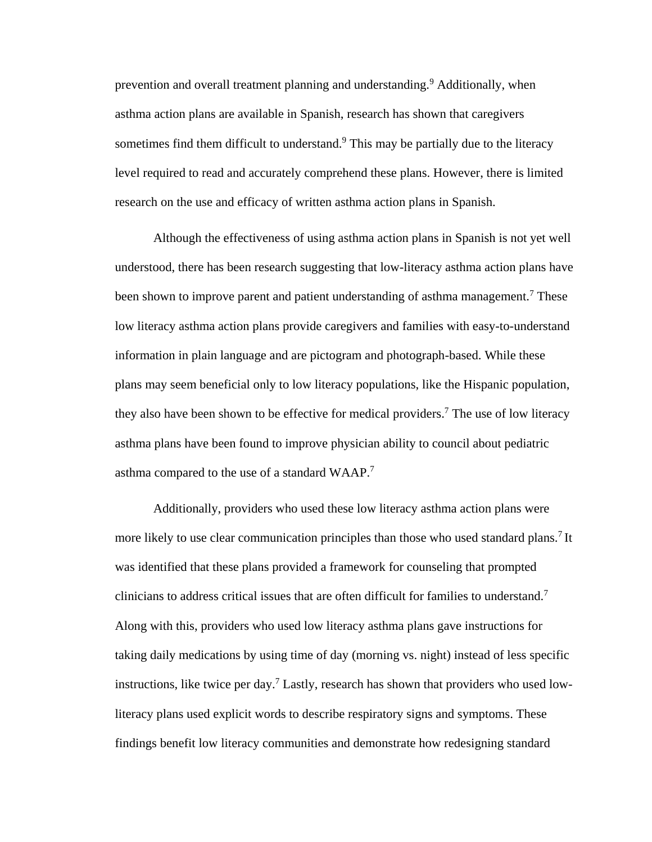prevention and overall treatment planning and understanding.<sup>9</sup> Additionally, when asthma action plans are available in Spanish, research has shown that caregivers sometimes find them difficult to understand.<sup>9</sup> This may be partially due to the literacy level required to read and accurately comprehend these plans. However, there is limited research on the use and efficacy of written asthma action plans in Spanish.

Although the effectiveness of using asthma action plans in Spanish is not yet well understood, there has been research suggesting that low-literacy asthma action plans have been shown to improve parent and patient understanding of asthma management.<sup>7</sup> These low literacy asthma action plans provide caregivers and families with easy-to-understand information in plain language and are pictogram and photograph-based. While these plans may seem beneficial only to low literacy populations, like the Hispanic population, they also have been shown to be effective for medical providers.<sup>7</sup> The use of low literacy asthma plans have been found to improve physician ability to council about pediatric asthma compared to the use of a standard WAAP.<sup>7</sup>

Additionally, providers who used these low literacy asthma action plans were more likely to use clear communication principles than those who used standard plans.<sup>7</sup> It was identified that these plans provided a framework for counseling that prompted clinicians to address critical issues that are often difficult for families to understand.<sup>7</sup> Along with this, providers who used low literacy asthma plans gave instructions for taking daily medications by using time of day (morning vs. night) instead of less specific instructions, like twice per day.<sup>7</sup> Lastly, research has shown that providers who used lowliteracy plans used explicit words to describe respiratory signs and symptoms. These findings benefit low literacy communities and demonstrate how redesigning standard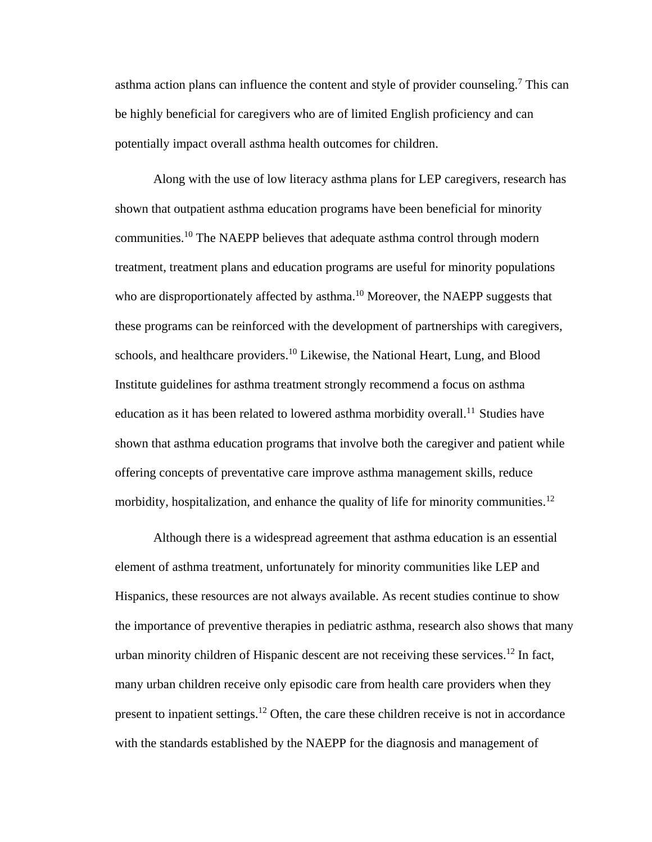asthma action plans can influence the content and style of provider counseling.<sup>7</sup> This can be highly beneficial for caregivers who are of limited English proficiency and can potentially impact overall asthma health outcomes for children.

Along with the use of low literacy asthma plans for LEP caregivers, research has shown that outpatient asthma education programs have been beneficial for minority communities.<sup>10</sup> The NAEPP believes that adequate asthma control through modern treatment, treatment plans and education programs are useful for minority populations who are disproportionately affected by asthma.<sup>10</sup> Moreover, the NAEPP suggests that these programs can be reinforced with the development of partnerships with caregivers, schools, and healthcare providers.<sup>10</sup> Likewise, the National Heart, Lung, and Blood Institute guidelines for asthma treatment strongly recommend a focus on asthma education as it has been related to lowered asthma morbidity overall.<sup>11</sup> Studies have shown that asthma education programs that involve both the caregiver and patient while offering concepts of preventative care improve asthma management skills, reduce morbidity, hospitalization, and enhance the quality of life for minority communities.<sup>12</sup>

Although there is a widespread agreement that asthma education is an essential element of asthma treatment, unfortunately for minority communities like LEP and Hispanics, these resources are not always available. As recent studies continue to show the importance of preventive therapies in pediatric asthma, research also shows that many urban minority children of Hispanic descent are not receiving these services.<sup>12</sup> In fact, many urban children receive only episodic care from health care providers when they present to inpatient settings.<sup>12</sup> Often, the care these children receive is not in accordance with the standards established by the NAEPP for the diagnosis and management of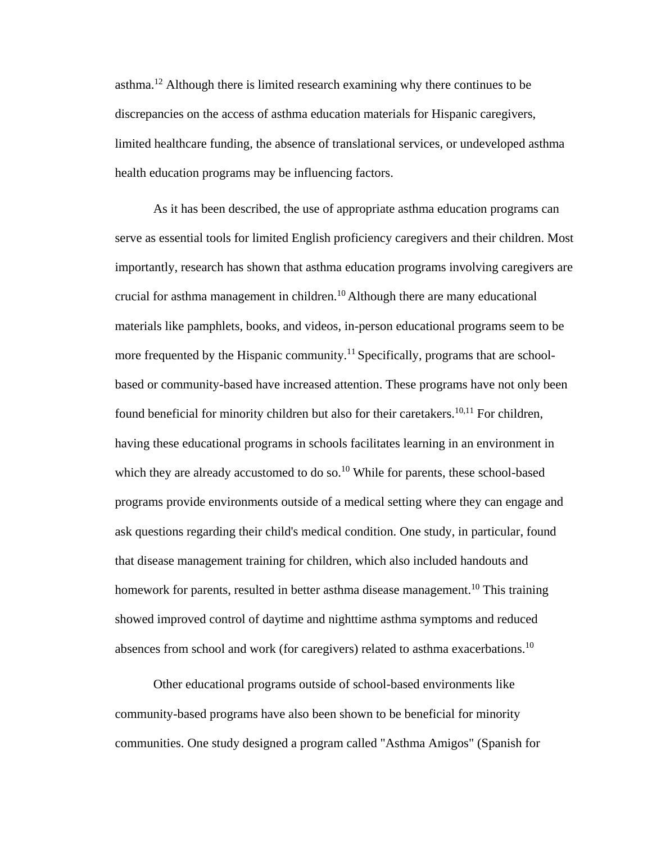asthma.<sup>12</sup> Although there is limited research examining why there continues to be discrepancies on the access of asthma education materials for Hispanic caregivers, limited healthcare funding, the absence of translational services, or undeveloped asthma health education programs may be influencing factors.

As it has been described, the use of appropriate asthma education programs can serve as essential tools for limited English proficiency caregivers and their children. Most importantly, research has shown that asthma education programs involving caregivers are crucial for asthma management in children.<sup>10</sup> Although there are many educational materials like pamphlets, books, and videos, in-person educational programs seem to be more frequented by the Hispanic community.<sup>11</sup> Specifically, programs that are schoolbased or community-based have increased attention. These programs have not only been found beneficial for minority children but also for their caretakers.<sup>10,11</sup> For children, having these educational programs in schools facilitates learning in an environment in which they are already accustomed to do so.<sup>10</sup> While for parents, these school-based programs provide environments outside of a medical setting where they can engage and ask questions regarding their child's medical condition. One study, in particular, found that disease management training for children, which also included handouts and homework for parents, resulted in better asthma disease management.<sup>10</sup> This training showed improved control of daytime and nighttime asthma symptoms and reduced absences from school and work (for caregivers) related to asthma exacerbations.<sup>10</sup>

Other educational programs outside of school-based environments like community-based programs have also been shown to be beneficial for minority communities. One study designed a program called "Asthma Amigos" (Spanish for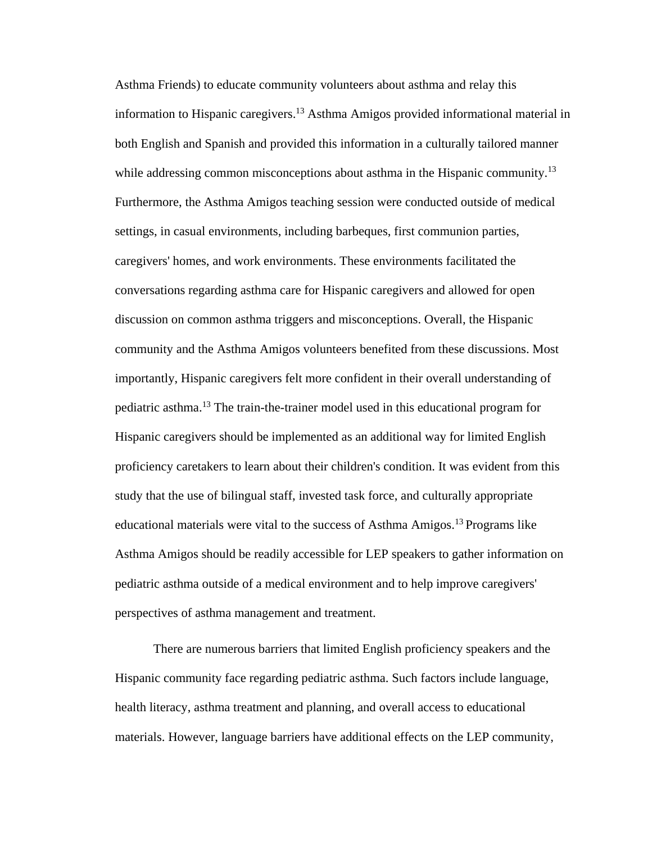Asthma Friends) to educate community volunteers about asthma and relay this information to Hispanic caregivers.<sup>13</sup> Asthma Amigos provided informational material in both English and Spanish and provided this information in a culturally tailored manner while addressing common misconceptions about asthma in the Hispanic community.<sup>13</sup> Furthermore, the Asthma Amigos teaching session were conducted outside of medical settings, in casual environments, including barbeques, first communion parties, caregivers' homes, and work environments. These environments facilitated the conversations regarding asthma care for Hispanic caregivers and allowed for open discussion on common asthma triggers and misconceptions. Overall, the Hispanic community and the Asthma Amigos volunteers benefited from these discussions. Most importantly, Hispanic caregivers felt more confident in their overall understanding of pediatric asthma.<sup>13</sup> The train-the-trainer model used in this educational program for Hispanic caregivers should be implemented as an additional way for limited English proficiency caretakers to learn about their children's condition. It was evident from this study that the use of bilingual staff, invested task force, and culturally appropriate educational materials were vital to the success of Asthma Amigos.<sup>13</sup> Programs like Asthma Amigos should be readily accessible for LEP speakers to gather information on pediatric asthma outside of a medical environment and to help improve caregivers' perspectives of asthma management and treatment.

There are numerous barriers that limited English proficiency speakers and the Hispanic community face regarding pediatric asthma. Such factors include language, health literacy, asthma treatment and planning, and overall access to educational materials. However, language barriers have additional effects on the LEP community,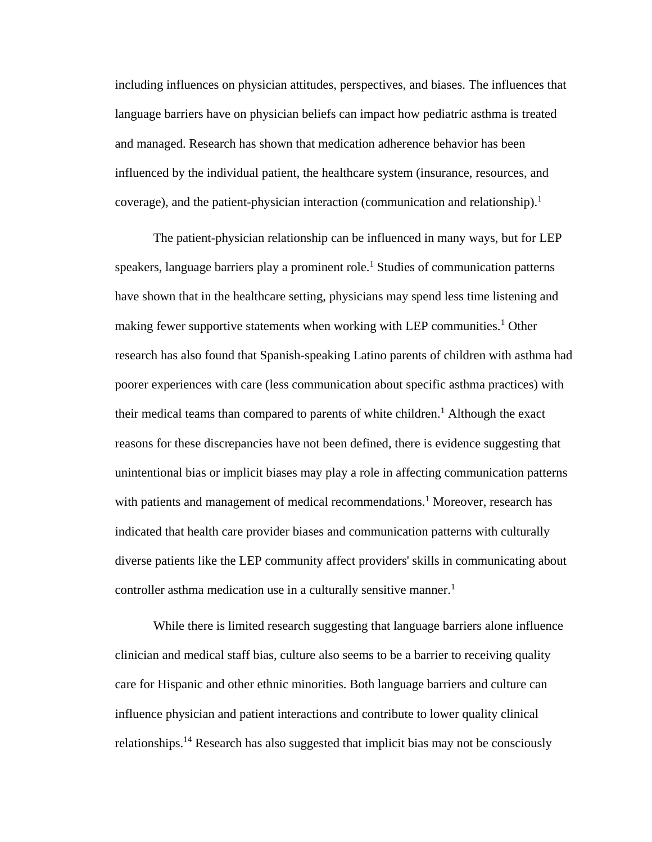including influences on physician attitudes, perspectives, and biases. The influences that language barriers have on physician beliefs can impact how pediatric asthma is treated and managed. Research has shown that medication adherence behavior has been influenced by the individual patient, the healthcare system (insurance, resources, and coverage), and the patient-physician interaction (communication and relationship).<sup>1</sup>

The patient-physician relationship can be influenced in many ways, but for LEP speakers, language barriers play a prominent role.<sup>1</sup> Studies of communication patterns have shown that in the healthcare setting, physicians may spend less time listening and making fewer supportive statements when working with LEP communities.<sup>1</sup> Other research has also found that Spanish-speaking Latino parents of children with asthma had poorer experiences with care (less communication about specific asthma practices) with their medical teams than compared to parents of white children.<sup>1</sup> Although the exact reasons for these discrepancies have not been defined, there is evidence suggesting that unintentional bias or implicit biases may play a role in affecting communication patterns with patients and management of medical recommendations.<sup>1</sup> Moreover, research has indicated that health care provider biases and communication patterns with culturally diverse patients like the LEP community affect providers' skills in communicating about controller asthma medication use in a culturally sensitive manner.<sup>1</sup>

While there is limited research suggesting that language barriers alone influence clinician and medical staff bias, culture also seems to be a barrier to receiving quality care for Hispanic and other ethnic minorities. Both language barriers and culture can influence physician and patient interactions and contribute to lower quality clinical relationships.<sup>14</sup> Research has also suggested that implicit bias may not be consciously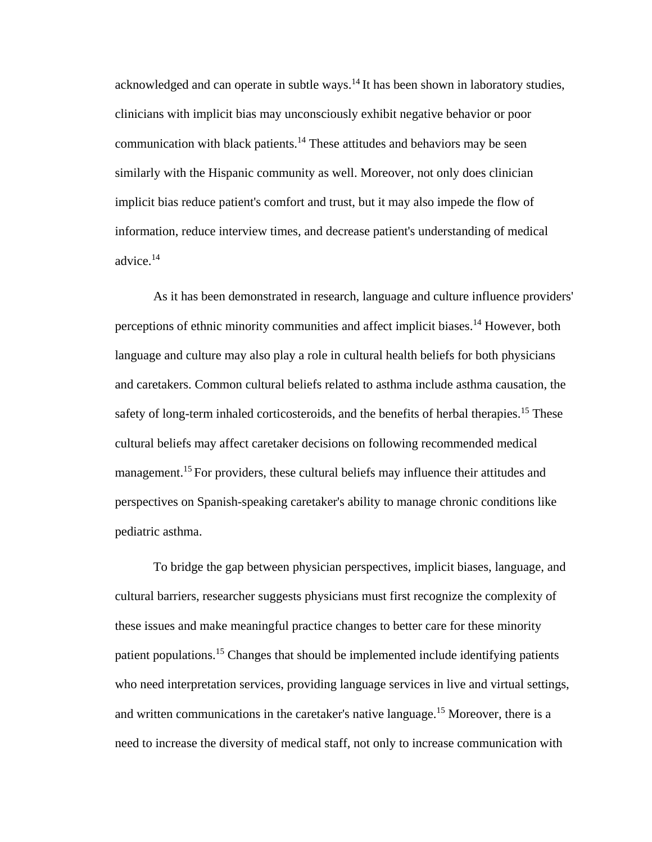acknowledged and can operate in subtle ways.<sup>14</sup> It has been shown in laboratory studies, clinicians with implicit bias may unconsciously exhibit negative behavior or poor communication with black patients.<sup>14</sup> These attitudes and behaviors may be seen similarly with the Hispanic community as well. Moreover, not only does clinician implicit bias reduce patient's comfort and trust, but it may also impede the flow of information, reduce interview times, and decrease patient's understanding of medical advice.<sup>14</sup>

As it has been demonstrated in research, language and culture influence providers' perceptions of ethnic minority communities and affect implicit biases.<sup>14</sup> However, both language and culture may also play a role in cultural health beliefs for both physicians and caretakers. Common cultural beliefs related to asthma include asthma causation, the safety of long-term inhaled corticosteroids, and the benefits of herbal therapies.<sup>15</sup> These cultural beliefs may affect caretaker decisions on following recommended medical management.<sup>15</sup> For providers, these cultural beliefs may influence their attitudes and perspectives on Spanish-speaking caretaker's ability to manage chronic conditions like pediatric asthma.

To bridge the gap between physician perspectives, implicit biases, language, and cultural barriers, researcher suggests physicians must first recognize the complexity of these issues and make meaningful practice changes to better care for these minority patient populations.<sup>15</sup> Changes that should be implemented include identifying patients who need interpretation services, providing language services in live and virtual settings, and written communications in the caretaker's native language.<sup>15</sup> Moreover, there is a need to increase the diversity of medical staff, not only to increase communication with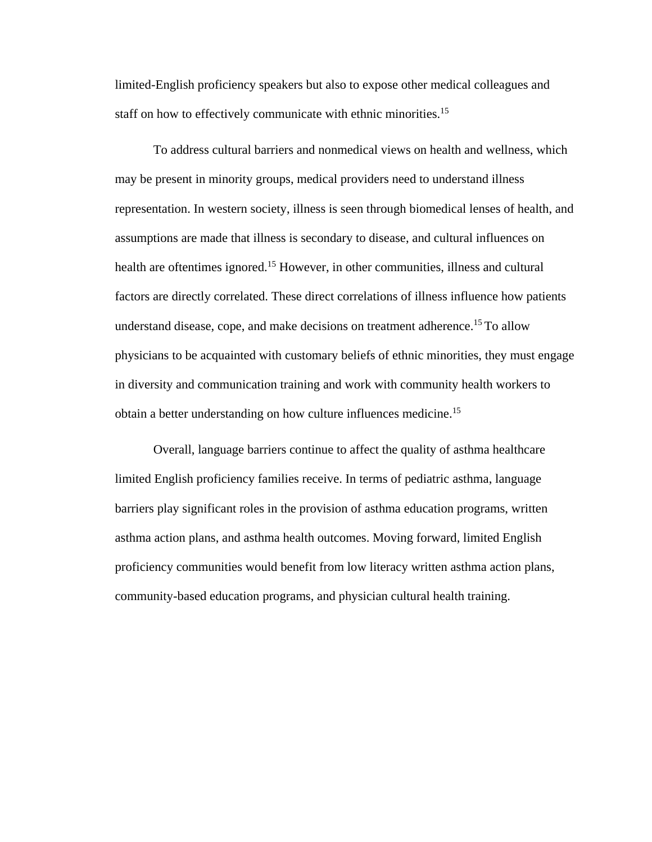limited-English proficiency speakers but also to expose other medical colleagues and staff on how to effectively communicate with ethnic minorities.<sup>15</sup>

To address cultural barriers and nonmedical views on health and wellness, which may be present in minority groups, medical providers need to understand illness representation. In western society, illness is seen through biomedical lenses of health, and assumptions are made that illness is secondary to disease, and cultural influences on health are oftentimes ignored.<sup>15</sup> However, in other communities, illness and cultural factors are directly correlated. These direct correlations of illness influence how patients understand disease, cope, and make decisions on treatment adherence.<sup>15</sup> To allow physicians to be acquainted with customary beliefs of ethnic minorities, they must engage in diversity and communication training and work with community health workers to obtain a better understanding on how culture influences medicine.<sup>15</sup>

Overall, language barriers continue to affect the quality of asthma healthcare limited English proficiency families receive. In terms of pediatric asthma, language barriers play significant roles in the provision of asthma education programs, written asthma action plans, and asthma health outcomes. Moving forward, limited English proficiency communities would benefit from low literacy written asthma action plans, community-based education programs, and physician cultural health training.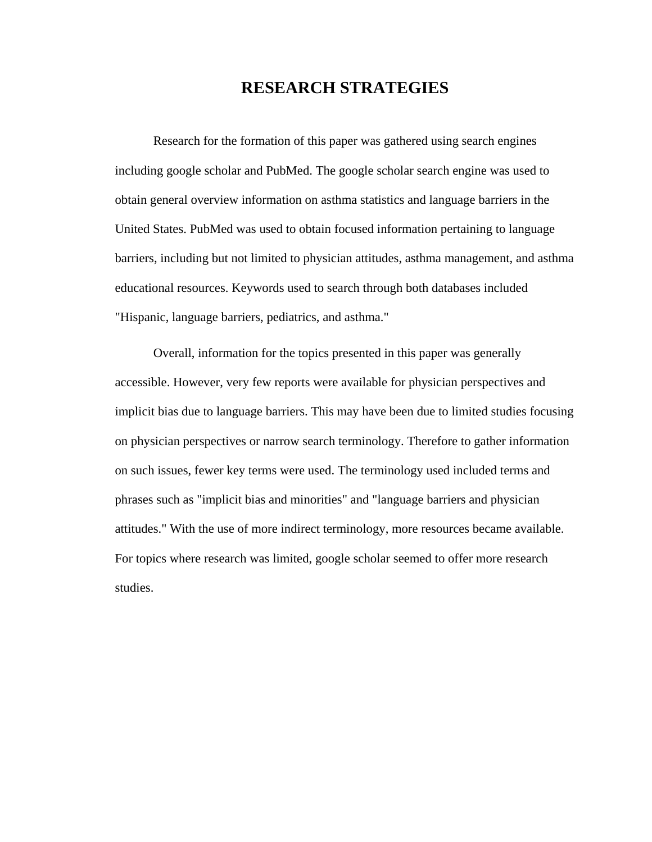# **RESEARCH STRATEGIES**

Research for the formation of this paper was gathered using search engines including google scholar and PubMed. The google scholar search engine was used to obtain general overview information on asthma statistics and language barriers in the United States. PubMed was used to obtain focused information pertaining to language barriers, including but not limited to physician attitudes, asthma management, and asthma educational resources. Keywords used to search through both databases included "Hispanic, language barriers, pediatrics, and asthma."

Overall, information for the topics presented in this paper was generally accessible. However, very few reports were available for physician perspectives and implicit bias due to language barriers. This may have been due to limited studies focusing on physician perspectives or narrow search terminology. Therefore to gather information on such issues, fewer key terms were used. The terminology used included terms and phrases such as "implicit bias and minorities" and "language barriers and physician attitudes." With the use of more indirect terminology, more resources became available. For topics where research was limited, google scholar seemed to offer more research studies.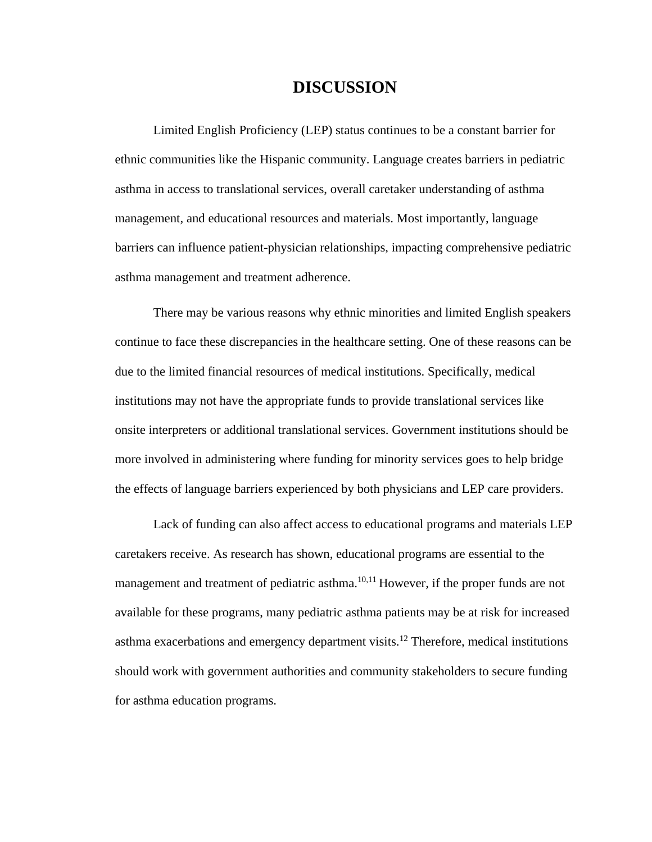## **DISCUSSION**

Limited English Proficiency (LEP) status continues to be a constant barrier for ethnic communities like the Hispanic community. Language creates barriers in pediatric asthma in access to translational services, overall caretaker understanding of asthma management, and educational resources and materials. Most importantly, language barriers can influence patient-physician relationships, impacting comprehensive pediatric asthma management and treatment adherence.

There may be various reasons why ethnic minorities and limited English speakers continue to face these discrepancies in the healthcare setting. One of these reasons can be due to the limited financial resources of medical institutions. Specifically, medical institutions may not have the appropriate funds to provide translational services like onsite interpreters or additional translational services. Government institutions should be more involved in administering where funding for minority services goes to help bridge the effects of language barriers experienced by both physicians and LEP care providers.

Lack of funding can also affect access to educational programs and materials LEP caretakers receive. As research has shown, educational programs are essential to the management and treatment of pediatric asthma.<sup>10,11</sup> However, if the proper funds are not available for these programs, many pediatric asthma patients may be at risk for increased asthma exacerbations and emergency department visits.<sup>12</sup> Therefore, medical institutions should work with government authorities and community stakeholders to secure funding for asthma education programs.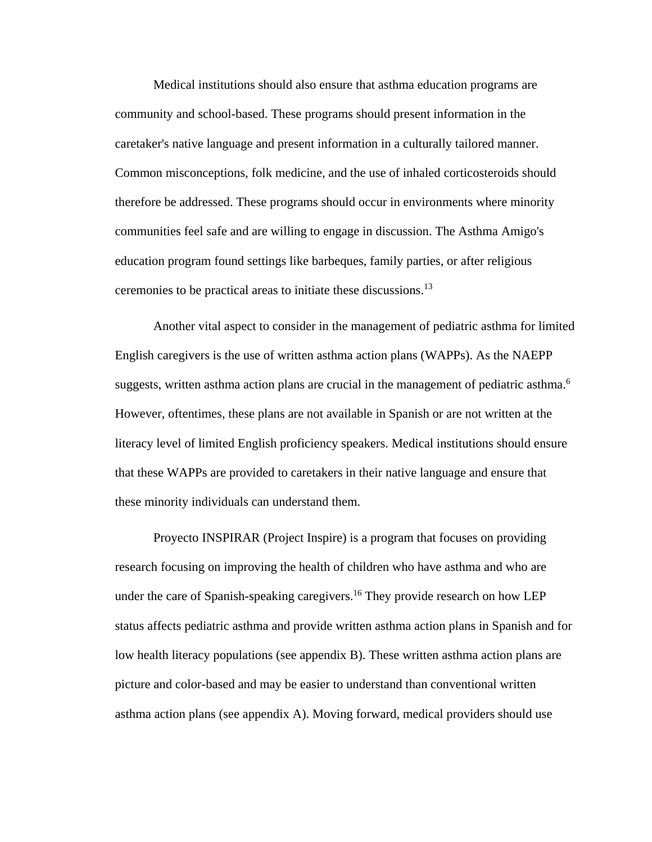Medical institutions should also ensure that asthma education programs are community and school-based. These programs should present information in the caretaker's native language and present information in a culturally tailored manner. Common misconceptions, folk medicine, and the use of inhaled corticosteroids should therefore be addressed. These programs should occur in environments where minority communities feel safe and are willing to engage in discussion. The Asthma Amigo's education program found settings like barbeques, family parties, or after religious ceremonies to be practical areas to initiate these discussions.<sup>13</sup>

Another vital aspect to consider in the management of pediatric asthma for limited English caregivers is the use of written asthma action plans (WAPPs). As the NAEPP suggests, written asthma action plans are crucial in the management of pediatric asthma.<sup>6</sup> However, oftentimes, these plans are not available in Spanish or are not written at the literacy level of limited English proficiency speakers. Medical institutions should ensure that these WAPPs are provided to caretakers in their native language and ensure that these minority individuals can understand them.

Proyecto INSPIRAR (Project Inspire) is a program that focuses on providing research focusing on improving the health of children who have asthma and who are under the care of Spanish-speaking caregivers.<sup>16</sup> They provide research on how LEP status affects pediatric asthma and provide written asthma action plans in Spanish and for low health literacy populations (see appendix B). These written asthma action plans are picture and color-based and may be easier to understand than conventional written asthma action plans (see appendix A). Moving forward, medical providers should use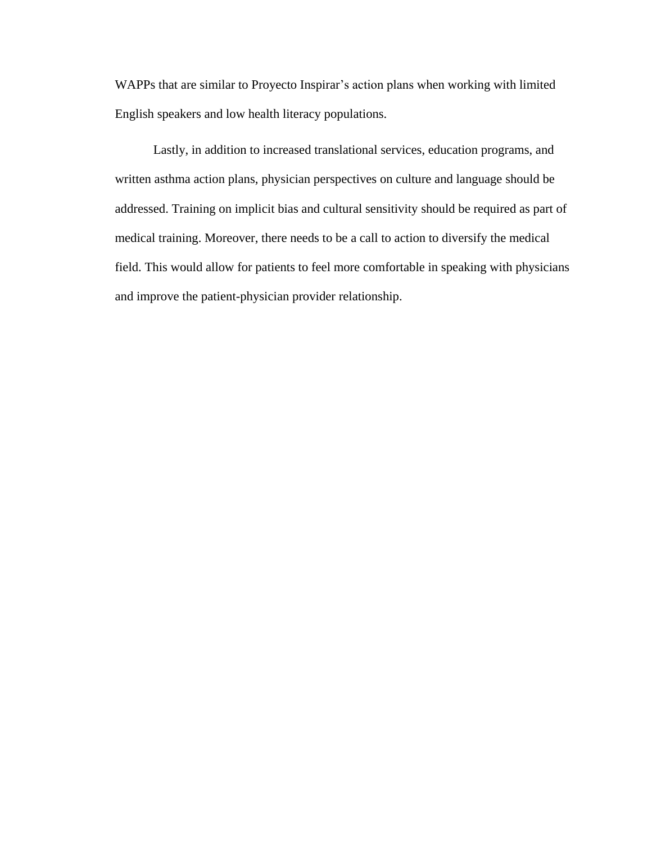WAPPs that are similar to Proyecto Inspirar's action plans when working with limited English speakers and low health literacy populations.

Lastly, in addition to increased translational services, education programs, and written asthma action plans, physician perspectives on culture and language should be addressed. Training on implicit bias and cultural sensitivity should be required as part of medical training. Moreover, there needs to be a call to action to diversify the medical field. This would allow for patients to feel more comfortable in speaking with physicians and improve the patient-physician provider relationship.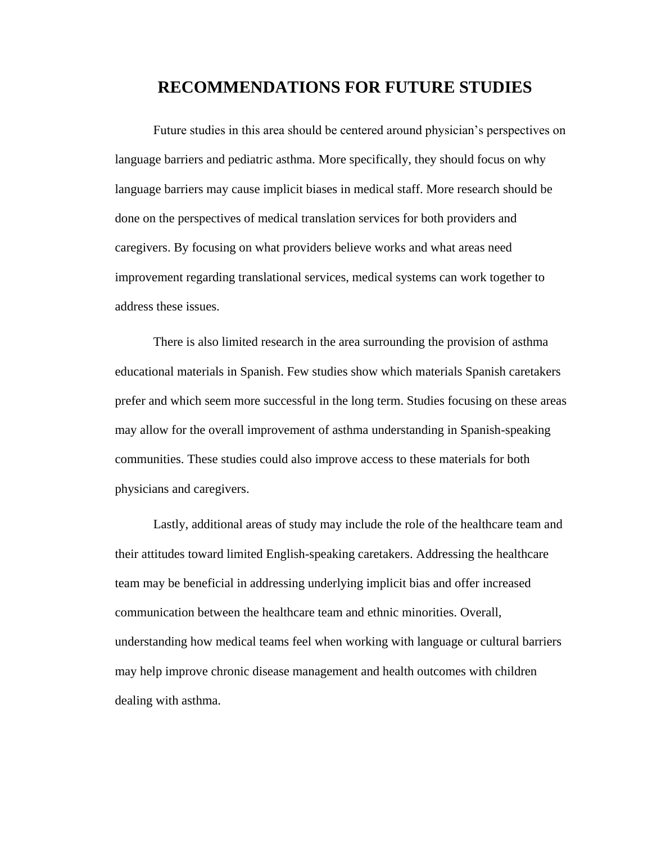## **RECOMMENDATIONS FOR FUTURE STUDIES**

Future studies in this area should be centered around physician's perspectives on language barriers and pediatric asthma. More specifically, they should focus on why language barriers may cause implicit biases in medical staff. More research should be done on the perspectives of medical translation services for both providers and caregivers. By focusing on what providers believe works and what areas need improvement regarding translational services, medical systems can work together to address these issues.

There is also limited research in the area surrounding the provision of asthma educational materials in Spanish. Few studies show which materials Spanish caretakers prefer and which seem more successful in the long term. Studies focusing on these areas may allow for the overall improvement of asthma understanding in Spanish-speaking communities. These studies could also improve access to these materials for both physicians and caregivers.

Lastly, additional areas of study may include the role of the healthcare team and their attitudes toward limited English-speaking caretakers. Addressing the healthcare team may be beneficial in addressing underlying implicit bias and offer increased communication between the healthcare team and ethnic minorities. Overall, understanding how medical teams feel when working with language or cultural barriers may help improve chronic disease management and health outcomes with children dealing with asthma.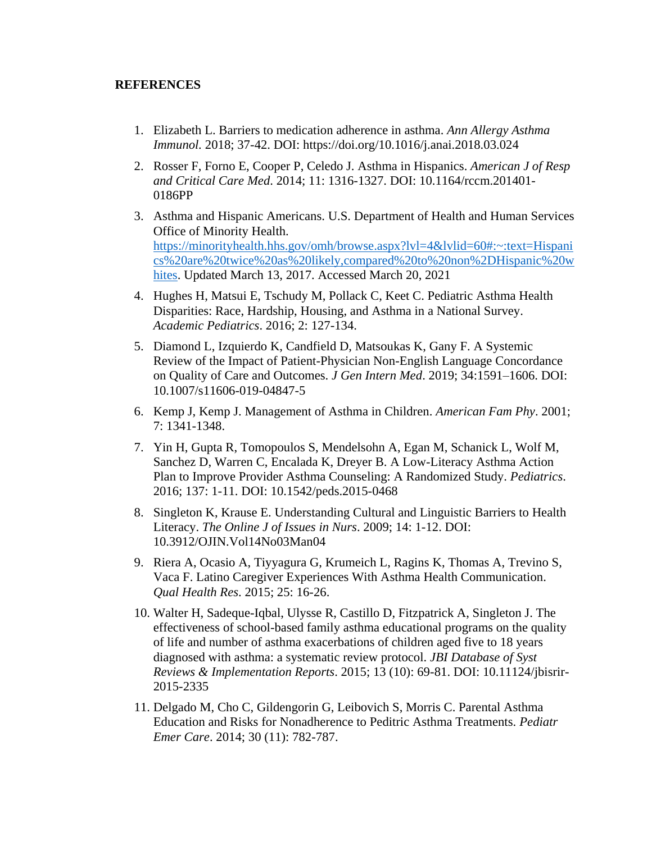#### **REFERENCES**

- 1. Elizabeth L. Barriers to medication adherence in asthma. *Ann Allergy Asthma Immunol.* 2018; 37-42. DOI: https://doi.org/10.1016/j.anai.2018.03.024
- 2. Rosser F, Forno E, Cooper P, Celedo J. Asthma in Hispanics. *American J of Resp and Critical Care Med*. 2014; 11: 1316-1327. DOI: 10.1164/rccm.201401- 0186PP
- 3. Asthma and Hispanic Americans. U.S. Department of Health and Human Services Office of Minority Health. [https://minorityhealth.hhs.gov/omh/browse.aspx?lvl=4&lvlid=60#:~:text=Hispani](https://minorityhealth.hhs.gov/omh/browse.aspx?lvl=4&lvlid=60#:~:text=Hispanics%20are%20twice%20as%20likely,compared%20to%20non%2DHispanic%20whites) [cs%20are%20twice%20as%20likely,compared%20to%20non%2DHispanic%20w](https://minorityhealth.hhs.gov/omh/browse.aspx?lvl=4&lvlid=60#:~:text=Hispanics%20are%20twice%20as%20likely,compared%20to%20non%2DHispanic%20whites) [hites.](https://minorityhealth.hhs.gov/omh/browse.aspx?lvl=4&lvlid=60#:~:text=Hispanics%20are%20twice%20as%20likely,compared%20to%20non%2DHispanic%20whites) Updated March 13, 2017. Accessed March 20, 2021
- 4. Hughes H, Matsui E, Tschudy M, Pollack C, Keet C. Pediatric Asthma Health Disparities: Race, Hardship, Housing, and Asthma in a National Survey. *Academic Pediatrics*. 2016; 2: 127-134.
- 5. Diamond L, Izquierdo K, Candfield D, Matsoukas K, Gany F. A Systemic Review of the Impact of Patient-Physician Non-English Language Concordance on Quality of Care and Outcomes. *J Gen Intern Med*. 2019; 34:1591–1606. DOI: 10.1007/s11606-019-04847-5
- 6. Kemp J, Kemp J. Management of Asthma in Children. *American Fam Phy*. 2001; 7: 1341-1348.
- 7. Yin H, Gupta R, Tomopoulos S, Mendelsohn A, Egan M, Schanick L, Wolf M, Sanchez D, Warren C, Encalada K, Dreyer B. A Low-Literacy Asthma Action Plan to Improve Provider Asthma Counseling: A Randomized Study. *Pediatrics*. 2016; 137: 1-11. DOI: 10.1542/peds.2015-0468
- 8. Singleton K, Krause E. Understanding Cultural and Linguistic Barriers to Health Literacy. *The Online J of Issues in Nurs*. 2009; 14: 1-12. DOI: 10.3912/OJIN.Vol14No03Man04
- 9. Riera A, Ocasio A, Tiyyagura G, Krumeich L, Ragins K, Thomas A, Trevino S, Vaca F. Latino Caregiver Experiences With Asthma Health Communication. *Qual Health Res*. 2015; 25: 16-26.
- 10. Walter H, Sadeque-Iqbal, Ulysse R, Castillo D, Fitzpatrick A, Singleton J. The effectiveness of school-based family asthma educational programs on the quality of life and number of asthma exacerbations of children aged five to 18 years diagnosed with asthma: a systematic review protocol. *JBI Database of Syst Reviews & Implementation Reports*. 2015; 13 (10): 69-81. DOI: 10.11124/jbisrir-2015-2335
- 11. Delgado M, Cho C, Gildengorin G, Leibovich S, Morris C. Parental Asthma Education and Risks for Nonadherence to Peditric Asthma Treatments. *Pediatr Emer Care*. 2014; 30 (11): 782-787.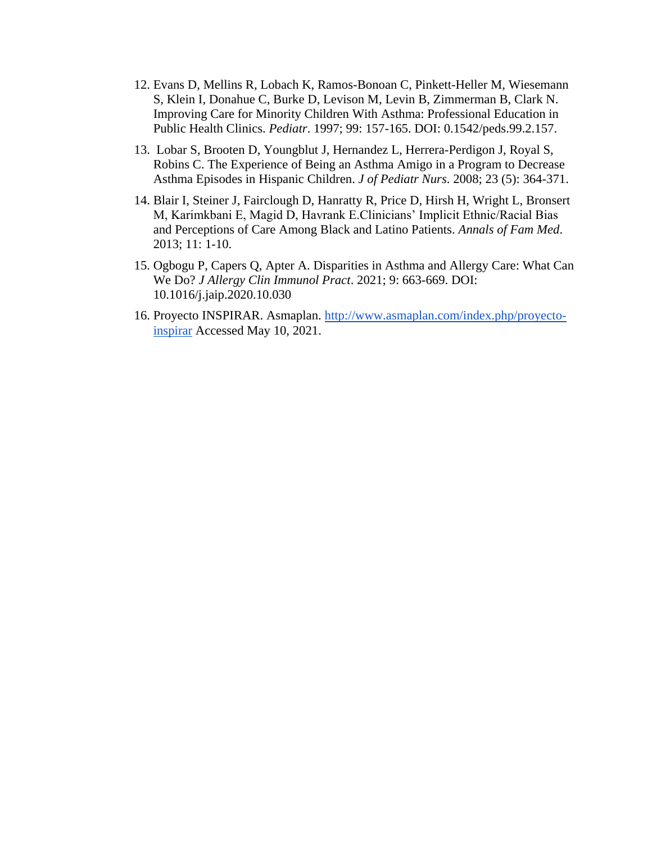- 12. Evans D, Mellins R, Lobach K, Ramos-Bonoan C, Pinkett-Heller M, Wiesemann S, Klein I, Donahue C, Burke D, Levison M, Levin B, Zimmerman B, Clark N. Improving Care for Minority Children With Asthma: Professional Education in Public Health Clinics. *Pediatr*. 1997; 99: 157-165. DOI: 0.1542/peds.99.2.157.
- 13. Lobar S, Brooten D, Youngblut J, Hernandez L, Herrera-Perdigon J, Royal S, Robins C. The Experience of Being an Asthma Amigo in a Program to Decrease Asthma Episodes in Hispanic Children. *J of Pediatr Nurs*. 2008; 23 (5): 364-371.
- 14. Blair I, Steiner J, Fairclough D, Hanratty R, Price D, Hirsh H, Wright L, Bronsert M, Karimkbani E, Magid D, Havrank E.Clinicians' Implicit Ethnic/Racial Bias and Perceptions of Care Among Black and Latino Patients. *Annals of Fam Med*. 2013; 11: 1-10.
- 15. Ogbogu P, Capers Q, Apter A. Disparities in Asthma and Allergy Care: What Can We Do? *J Allergy Clin Immunol Pract*. 2021; 9: 663-669. DOI: 10.1016/j.jaip.2020.10.030
- 16. Proyecto INSPIRAR. Asmaplan. [http://www.asmaplan.com/index.php/proyecto](http://www.asmaplan.com/index.php/proyecto-inspirar)[inspirar](http://www.asmaplan.com/index.php/proyecto-inspirar) Accessed May 10, 2021.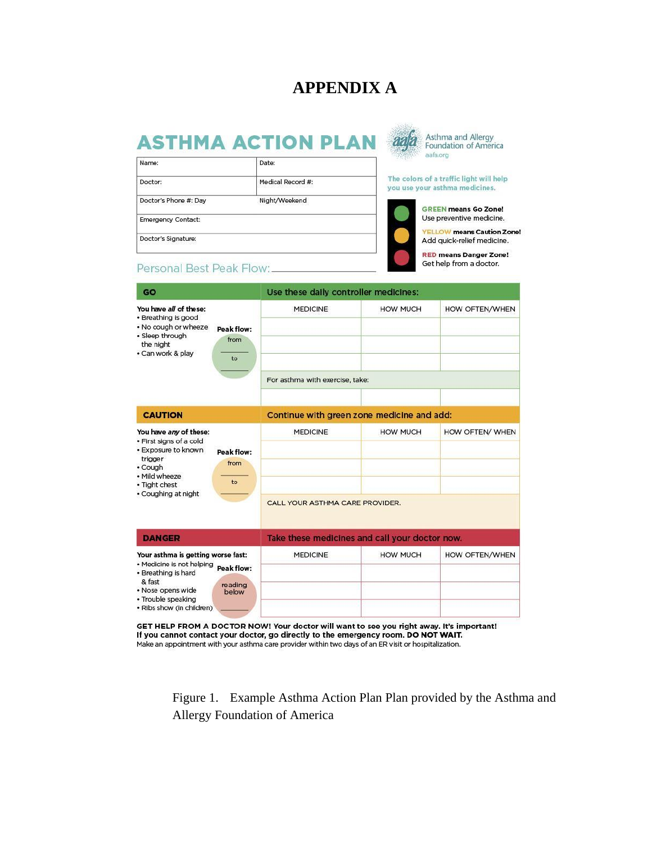# **APPENDIX A**

# **ASTHMA ACTION PLAN**

| Name:                     | Date:             |  |  |
|---------------------------|-------------------|--|--|
| Doctor:                   | Medical Record #: |  |  |
| Doctor's Phone #: Day     | Night/Weekend     |  |  |
| <b>Emergency Contact:</b> |                   |  |  |
| Doctor's Signature:       |                   |  |  |



Asthma and Allergy Foundation of America

The colors of a traffic light will help you use your asthma medicines.



**GREEN means Go Zone!** Use preventive medicine.

**YELLOW** means Caution Zone! Add quick-relief medicine.

**RED means Danger Zone!** Get help from a doctor.

#### Personal Best Peak Flow:\_

| GO                                                                                                                                                                       |                                       | Use these daily controller medicines:              |                 |                 |  |
|--------------------------------------------------------------------------------------------------------------------------------------------------------------------------|---------------------------------------|----------------------------------------------------|-----------------|-----------------|--|
| You have all of these:<br>· Breathing is good<br>. No cough or wheeze<br>· Sleep through<br>the night<br>· Can work & play                                               | Peak flow:<br>from<br>to              | <b>MEDICINE</b>                                    | <b>HOW MUCH</b> | HOW OFTEN/WHEN  |  |
|                                                                                                                                                                          |                                       | For asthma with exercise, take:                    |                 |                 |  |
| <b>CAUTION</b>                                                                                                                                                           |                                       | Continue with green zone medicine and add:         |                 |                 |  |
| You have any of these:<br>· First signs of a cold<br>· Exposure to known<br>trigger<br>• Cough<br>• Mild wheeze<br>• Tight chest<br>· Coughing at night                  | Peak flow:<br>from<br>to              | <b>MEDICINE</b><br>CALL YOUR ASTHMA CARE PROVIDER. | <b>HOW MUCH</b> | HOW OFTEN/ WHEN |  |
| <b>DANGER</b>                                                                                                                                                            |                                       | Take these medicines and call your doctor now.     |                 |                 |  |
| Your asthma is getting worse fast:<br>• Medicine is not helping<br>• Breathing is hard<br>& fast<br>· Nose opens wide<br>· Trouble speaking<br>· Ribs show (in children) | <b>Peak flow:</b><br>reading<br>below | <b>MEDICINE</b>                                    | <b>HOW MUCH</b> | HOW OFTEN/WHEN  |  |

GET HELP FROM A DOCTOR NOW! Your doctor will want to see you right away. It's important! If you cannot contact your doctor, go directly to the emergency room. DO NOT WAIT. Make an appointment with your asthma care provider within two days of an ER visit or hospitalization.

Figure 1. Example Asthma Action Plan Plan provided by the Asthma and Allergy Foundation of America